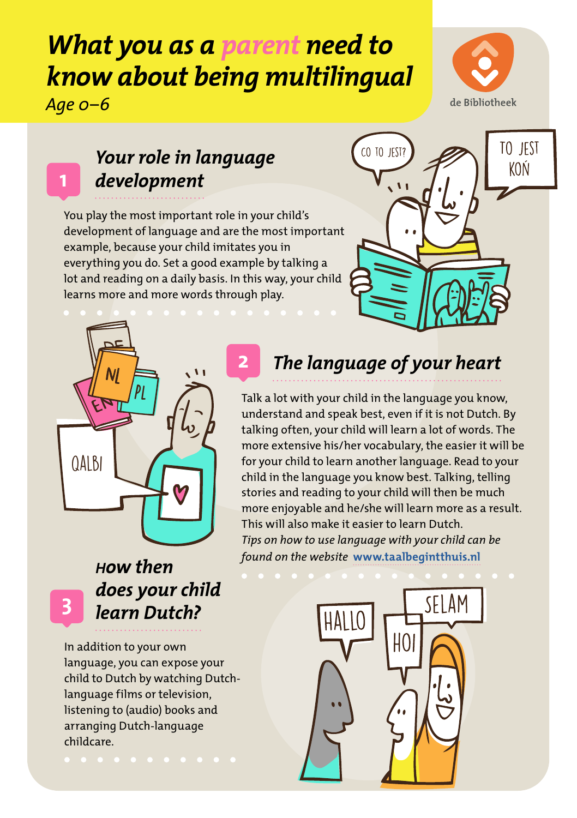# *What you as a parent need to know about being multilingual Age 0–6*



## *Your role in language development*

You play the most important role in your child's development of language and are the most important example, because your child imitates you in everything you do. Set a good example by talking a lot and reading on a daily basis. In this way, your child learns more and more words through play.

**2**





### *How then does your child learn Dutch?*

**3**

**1**

In addition to your own language, you can expose your child to Dutch by watching Dutchlanguage films or television, listening to (audio) books and arranging Dutch-language childcare.

## *The language of your heart*

Talk a lot with your child in the language you know, understand and speak best, even if it is not Dutch. By talking often, your child will learn a lot of words. The more extensive his/her vocabulary, the easier it will be for your child to learn another language. Read to your child in the language you know best. Talking, telling stories and reading to your child will then be much more enjoyable and he/she will learn more as a result. This will also make it easier to learn Dutch. *Tips on how to use language with your child can be found on the website* **[www.taalbegintthuis.nl](http://www.taalbegintthuis.nl/)**